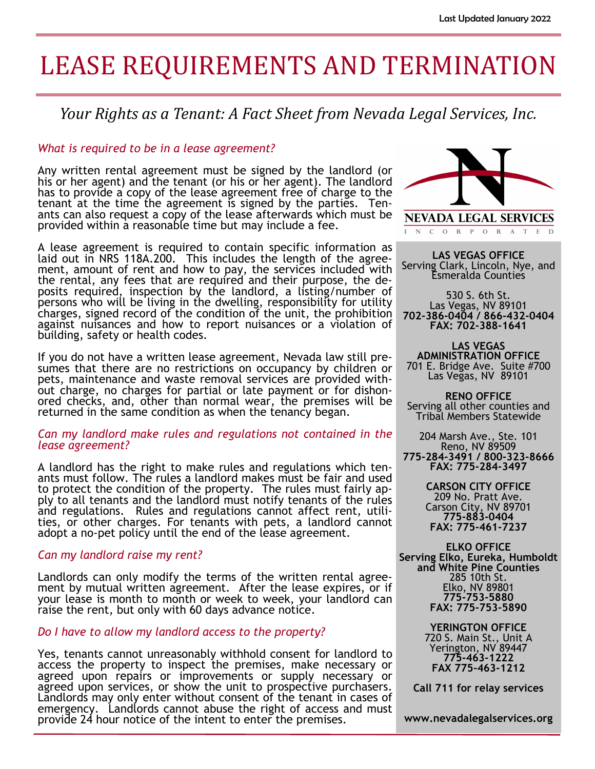# LEASE REQUIREMENTS AND TERMINATION

### *Your Rights as a Tenant: A Fact Sheet from Nevada Legal Services, Inc.*

#### *What is required to be in a lease agreement?*

Any written rental agreement must be signed by the landlord (or his or her agent) and the tenant (or his or her agent). The landlord has to provide a copy of the lease agreement free of charge to the tenant at the time the agreement is signed by the parties. Tenants can also request a copy of the lease afterwards which must be provided within a reasonable time but may include a fee.

A lease agreement is required to contain specific information as laid out in NRS 118A.200. This includes the length of the agreement, amount of rent and how to pay, the services included with the rental, any fees that are required and their purpose, the deposits required, inspection by the landlord, a listing/number of persons who will be living in the dwelling, responsibility for utility charges, signed record of the condition of the unit, the prohibition against nuisances and how to report nuisances or a violation of building, safety or health codes.

If you do not have a written lease agreement, Nevada law still presumes that there are no restrictions on occupancy by children or pets, maintenance and waste removal services are provided without charge, no charges for partial or late payment or for dishonored checks, and, other than normal wear, the premises will be returned in the same condition as when the tenancy began.

#### *Can my landlord make rules and regulations not contained in the lease agreement?*

A landlord has the right to make rules and regulations which tenants must follow. The rules a landlord makes must be fair and used to protect the condition of the property. The rules must fairly apply to all tenants and the landlord must notify tenants of the rules and regulations. Rules and regulations cannot affect rent, utilities, or other charges. For tenants with pets, a landlord cannot adopt a no-pet policy until the end of the lease agreement.

#### *Can my landlord raise my rent?*

Landlords can only modify the terms of the written rental agreement by mutual written agreement. After the lease expires, or if your lease is month to month or week to week, your landlord can raise the rent, but only with 60 days advance notice.

#### *Do I have to allow my landlord access to the property?*

Yes, tenants cannot unreasonably withhold consent for landlord to access the property to inspect the premises, make necessary or agreed upon repairs or improvements or supply necessary or agreed upon services, or show the unit to prospective purchasers. Landlords may only enter without consent of the tenant in cases of emergency. Landlords cannot abuse the right of access and must provide 24 hour notice of the intent to enter the premises.



N C O R P O R A T E D

**LAS VEGAS OFFICE** Serving Clark, Lincoln, Nye, and Esmeralda Counties

530 S. 6th St. Las Vegas, NV 89101 **702-386-0404 / 866-432-0404 FAX: 702-388-1641**

**LAS VEGAS ADMINISTRATION OFFICE** 701 E. Bridge Ave. Suite #700 Las Vegas, NV 89101

**RENO OFFICE** Serving all other counties and Tribal Members Statewide

204 Marsh Ave., Ste. 101 Reno, NV 89509 **775-284-3491 / 800-323-8666 FAX: 775-284-3497**

> **CARSON CITY OFFICE** 209 No. Pratt Ave. Carson City, NV 89701 **775-883-0404 FAX: 775-461-7237**

**ELKO OFFICE Serving Elko, Eureka, Humboldt and White Pine Counties** 285 10th St. Elko, NV 89801 **775-753-5880 FAX: 775-753-5890**

> **YERINGTON OFFICE** 720 S. Main St., Unit A Yerington, NV 89447 **775-463-1222 FAX 775-463-1212**

**Call 711 for relay services**

**www.nevadalegalservices.org**